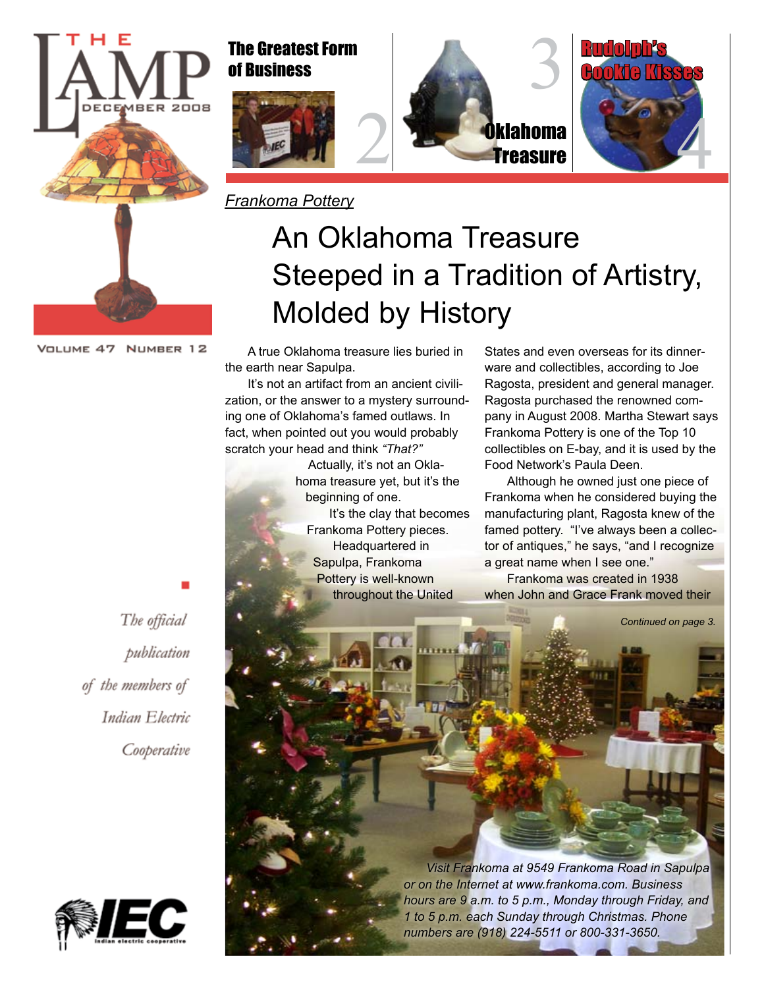

### The Greatest Form of Business



2

*Frankoma Pottery*

# 3 <mark>O</mark>klahoma reasure



## An Oklahoma Treasure Steeped in a Tradition of Artistry, Molded by History

A true Oklahoma treasure lies buried in the earth near Sapulpa.

It's not an artifact from an ancient civilization, or the answer to a mystery surrounding one of Oklahoma's famed outlaws. In fact, when pointed out you would probably scratch your head and think *"That?"*

Actually, it's not an Oklahoma treasure yet, but it's the beginning of one. It's the clay that becomes Frankoma Pottery pieces. Headquartered in Sapulpa, Frankoma Pottery is well-known throughout the United

States and even overseas for its dinnerware and collectibles, according to Joe Ragosta, president and general manager. Ragosta purchased the renowned company in August 2008. Martha Stewart says Frankoma Pottery is one of the Top 10 collectibles on E-bay, and it is used by the Food Network's Paula Deen.

Although he owned just one piece of Frankoma when he considered buying the manufacturing plant, Ragosta knew of the famed pottery. "I've always been a collector of antiques," he says, "and I recognize a great name when I see one."

Frankoma was created in 1938 when John and Grace Frank moved their



*or on the Internet at www.frankoma.com. Business hours are 9 a.m. to 5 p.m., Monday through Friday, and 1 to 5 p.m. each Sunday through Christmas. Phone numbers are (918) 224-5511 or 800-331-3650.*

The official publication of the members of Indian Electric Cooperative

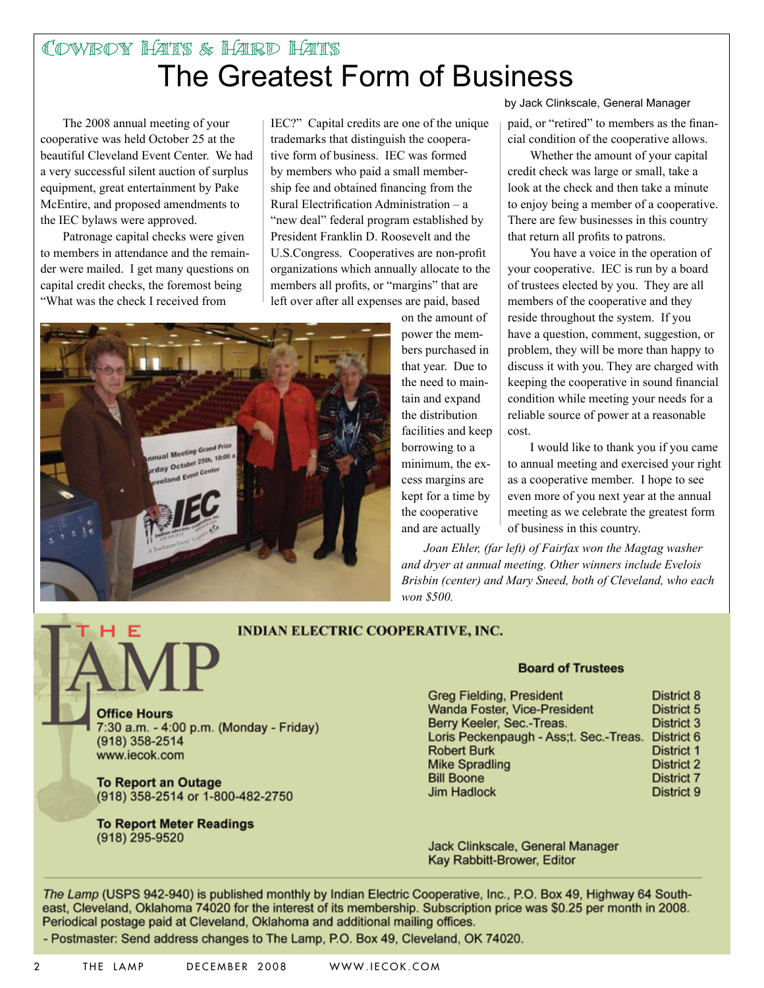## The Greatest Form of Business Cowboy Hats & Hard Hats

The 2008 annual meeting of your cooperative was held October 25 at the beautiful Cleveland Event Center. We had a very successful silent auction of surplus equipment, great entertainment by Pake McEntire, and proposed amendments to the IEC bylaws were approved.

Patronage capital checks were given to members in attendance and the remainder were mailed. I get many questions on capital credit checks, the foremost being "What was the check I received from

IEC?" Capital credits are one of the unique trademarks that distinguish the cooperative form of business. IEC was formed by members who paid a small membership fee and obtained financing from the Rural Electrification Administration – a "new deal" federal program established by President Franklin D. Roosevelt and the U.S.Congress. Cooperatives are non-profit organizations which annually allocate to the members all profits, or "margins" that are left over after all expenses are paid, based



on the amount of power the members purchased in that year. Due to the need to maintain and expand the distribution facilities and keep borrowing to a minimum, the excess margins are kept for a time by the cooperative and are actually

by Jack Clinkscale, General Manager

paid, or "retired" to members as the financial condition of the cooperative allows.

Whether the amount of your capital credit check was large or small, take a look at the check and then take a minute to enjoy being a member of a cooperative. There are few businesses in this country that return all profits to patrons.

You have a voice in the operation of your cooperative. IEC is run by a board of trustees elected by you. They are all members of the cooperative and they reside throughout the system. If you have a question, comment, suggestion, or problem, they will be more than happy to discuss it with you. They are charged with keeping the cooperative in sound financial condition while meeting your needs for a reliable source of power at a reasonable cost.

I would like to thank you if you came to annual meeting and exercised your right as a cooperative member. I hope to see even more of you next year at the annual meeting as we celebrate the greatest form of business in this country.

*Joan Ehler, (far left) of Fairfax won the Magtag washer and dryer at annual meeting. Other winners include Evelois Brisbin (center) and Mary Sneed, both of Cleveland, who each won \$500.*

#### **INDIAN ELECTRIC COOPERATIVE, INC.**

**Office Hours** 7:30 a.m. - 4:00 p.m. (Monday - Friday) (918) 358-2514 www.iecok.com

**To Report an Outage** (918) 358-2514 or 1-800-482-2750

**To Report Meter Readings** (918) 295-9520

#### **Board of Trustees**

| <b>Greg Fielding, President</b>        | District 8        |
|----------------------------------------|-------------------|
| Wanda Foster, Vice-President           | District 5        |
| Berry Keeler, Sec.-Treas.              | District 3        |
| Loris Peckenpaugh - Ass;t. Sec.-Treas. | District 6        |
| <b>Robert Burk</b>                     | District 1        |
| <b>Mike Spradling</b>                  | <b>District 2</b> |
| <b>Bill Boone</b>                      | <b>District 7</b> |
| <b>Jim Hadlock</b>                     | District 9        |

Jack Clinkscale, General Manager Kay Rabbitt-Brower, Editor

The Lamp (USPS 942-940) is published monthly by Indian Electric Cooperative, Inc., P.O. Box 49, Highway 64 Southeast, Cleveland, Oklahoma 74020 for the interest of its membership. Subscription price was \$0.25 per month in 2008. Periodical postage paid at Cleveland, Oklahoma and additional mailing offices.

- Postmaster: Send address changes to The Lamp, P.O. Box 49, Cleveland, OK 74020.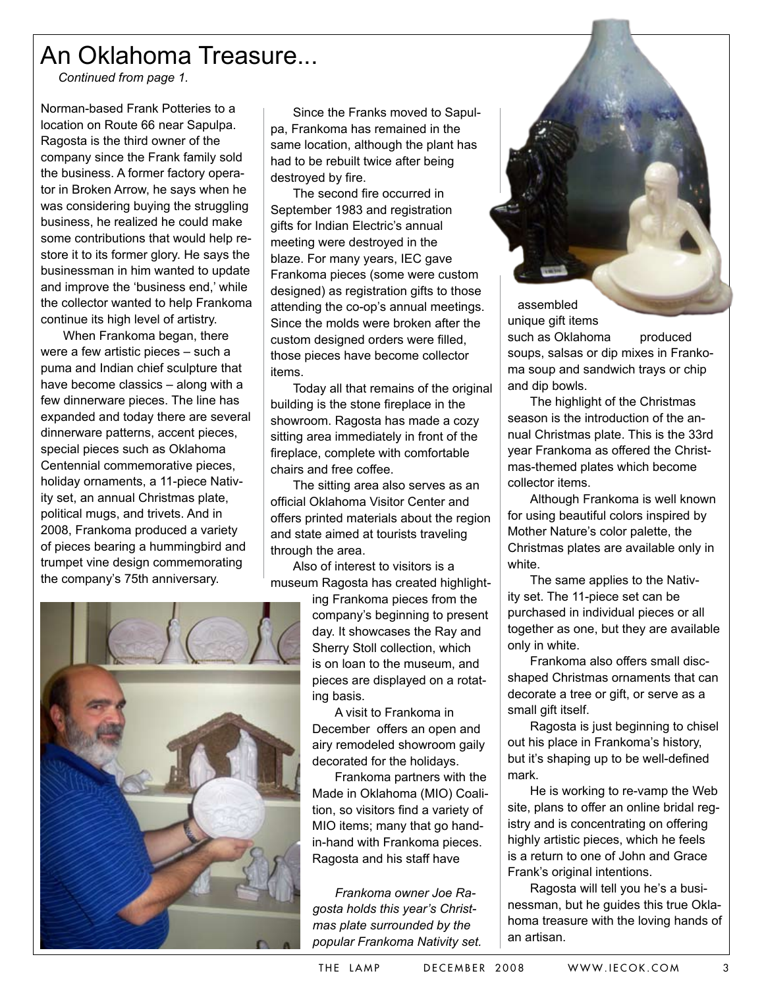## An Oklahoma Treasure...

*Continued from page 1.*

Norman-based Frank Potteries to a location on Route 66 near Sapulpa. Ragosta is the third owner of the company since the Frank family sold the business. A former factory operator in Broken Arrow, he says when he was considering buying the struggling business, he realized he could make some contributions that would help restore it to its former glory. He says the businessman in him wanted to update and improve the 'business end,' while the collector wanted to help Frankoma continue its high level of artistry.

When Frankoma began, there were a few artistic pieces – such a puma and Indian chief sculpture that have become classics – along with a few dinnerware pieces. The line has expanded and today there are several dinnerware patterns, accent pieces, special pieces such as Oklahoma Centennial commemorative pieces, holiday ornaments, a 11-piece Nativity set, an annual Christmas plate, political mugs, and trivets. And in 2008, Frankoma produced a variety of pieces bearing a hummingbird and trumpet vine design commemorating the company's 75th anniversary.

Since the Franks moved to Sapulpa, Frankoma has remained in the same location, although the plant has had to be rebuilt twice after being destroyed by fire.

The second fire occurred in September 1983 and registration gifts for Indian Electric's annual meeting were destroyed in the blaze. For many years, IEC gave Frankoma pieces (some were custom designed) as registration gifts to those attending the co-op's annual meetings. Since the molds were broken after the custom designed orders were filled, those pieces have become collector items.

Today all that remains of the original building is the stone fireplace in the showroom. Ragosta has made a cozy sitting area immediately in front of the fireplace, complete with comfortable chairs and free coffee.

The sitting area also serves as an official Oklahoma Visitor Center and offers printed materials about the region and state aimed at tourists traveling through the area.

Also of interest to visitors is a museum Ragosta has created highlight-

> ing Frankoma pieces from the company's beginning to present day. It showcases the Ray and Sherry Stoll collection, which is on loan to the museum, and pieces are displayed on a rotating basis.

A visit to Frankoma in December offers an open and airy remodeled showroom gaily decorated for the holidays.

Frankoma partners with the Made in Oklahoma (MIO) Coalition, so visitors find a variety of MIO items; many that go handin-hand with Frankoma pieces. Ragosta and his staff have

*Frankoma owner Joe Ragosta holds this year's Christmas plate surrounded by the popular Frankoma Nativity set.*

assembled unique gift items

such as Oklahoma produced soups, salsas or dip mixes in Frankoma soup and sandwich trays or chip and dip bowls.

The highlight of the Christmas season is the introduction of the annual Christmas plate. This is the 33rd year Frankoma as offered the Christmas-themed plates which become collector items.

Although Frankoma is well known for using beautiful colors inspired by Mother Nature's color palette, the Christmas plates are available only in white.

The same applies to the Nativity set. The 11-piece set can be purchased in individual pieces or all together as one, but they are available only in white.

Frankoma also offers small discshaped Christmas ornaments that can decorate a tree or gift, or serve as a small gift itself.

Ragosta is just beginning to chisel out his place in Frankoma's history, but it's shaping up to be well-defined mark.

He is working to re-vamp the Web site, plans to offer an online bridal registry and is concentrating on offering highly artistic pieces, which he feels is a return to one of John and Grace Frank's original intentions.

Ragosta will tell you he's a businessman, but he guides this true Oklahoma treasure with the loving hands of an artisan.